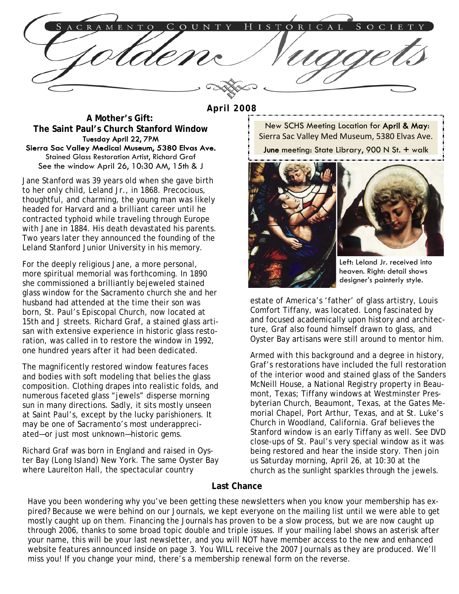TORICAL ENTO OUNTY

#### **April 2008**

 **A Mother's Gift: The Saint Paul's Church Stanford Window**  Tuesday April 22, 7PM Sierra Sac Valley Medical Museum, 5380 Elvas Ave. Stained Glass Restoration Artist, Richard Graf See the window April 26, 10:30 AM, 15th & J

Jane Stanford was 39 years old when she gave birth to her only child, Leland Jr., in 1868. Precocious, thoughtful, and charming, the young man was likely headed for Harvard and a brilliant career until he contracted typhoid while traveling through Europe with Jane in 1884. His death devastated his parents. Two years later they announced the founding of the Leland Stanford Junior University in his memory.

For the deeply religious Jane, a more personal, more spiritual memorial was forthcoming. In 1890 she commissioned a brilliantly bejeweled stained glass window for the Sacramento church she and her husband had attended at the time their son was born, St. Paul's Episcopal Church, now located at 15th and J streets. Richard Graf, a stained glass artisan with extensive experience in historic glass restoration, was called in to restore the window in 1992, one hundred years after it had been dedicated.

The magnificently restored window features faces and bodies with soft modeling that belies the glass composition. Clothing drapes into realistic folds, and numerous faceted glass "jewels" disperse morning sun in many directions. Sadly, it sits mostly unseen at Saint Paul's, except by the lucky parishioners. It may be one of Sacramento's most underappreciated—or just most unknown—historic gems.

Richard Graf was born in England and raised in Oyster Bay (Long Island) New York. The same Oyster Bay where Laurelton Hall, the spectacular country

New SCHS Meeting Location for April & May: Sierra Sac Valley Med Museum, 5380 Elvas Ave.

June meeting: State Library, 900 N St. + walk





Left: Leland Jr. received into heaven. Right: detail shows designer's painterly style.

estate of America's 'father' of glass artistry, Louis Comfort Tiffany, was located. Long fascinated by and focused academically upon history and architecture, Graf also found himself drawn to glass, and Oyster Bay artisans were still around to mentor him.

Armed with this background and a degree in history, Graf's restorations have included the full restoration of the interior wood and stained glass of the Sanders McNeill House, a National Registry property in Beaumont, Texas; Tiffany windows at Westminster Presbyterian Church, Beaumont, Texas, at the Gates Memorial Chapel, Port Arthur, Texas, and at St. Luke's Church in Woodland, California. Graf believes the Stanford window is an early Tiffany as well. See DVD close-ups of St. Paul's very special window as it was being restored and hear the inside story. Then join us Saturday morning, April 26, at 10:30 at the church as the sunlight sparkles through the jewels.

#### **Last Chance**

Have you been wondering why you've been getting these newsletters when you know your membership has expired? Because we were behind on our Journals, we kept everyone on the mailing list until we were able to get mostly caught up on them. Financing the Journals has proven to be a slow process, but we are now caught up through 2006, thanks to some broad topic double and triple issues. If your mailing label shows an asterisk after your name, this will be your last newsletter, and you will NOT have member access to the new and enhanced website features announced inside on page 3. You WILL receive the 2007 Journals as they are produced. We'll miss you! If you change your mind, there's a membership renewal form on the reverse.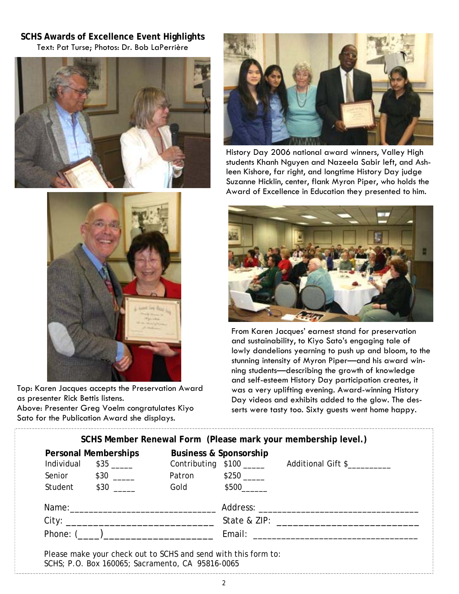**SCHS Awards of Excellence Event Highlights**  Text: Pat Turse; Photos: Dr. Bob LaPerrière





History Day 2006 national award winners, Valley High students Khanh Nguyen and Nazeela Sabir left, and Ashleen Kishore, far right, and longtime History Day judge Suzanne Hicklin, center, flank Myron Piper, who holds the Award of Excellence in Education they presented to him.



Top: Karen Jacques accepts the Preservation Award as presenter Rick Bettis listens. Above: Presenter Greg Voelm congratulates Kiyo Sato for the Publication Award she displays.



From Karen Jacques' earnest stand for preservation and sustainability, to Kiyo Sato's engaging tale of lowly dandelions yearning to push up and bloom, to the stunning intensity of Myron Piper—and his award winning students—describing the growth of knowledge and self-esteem History Day participation creates, it was a very uplifting evening. Award-winning History Day videos and exhibits added to the glow. The desserts were tasty too. Sixty guests went home happy.

| Personal Memberships |                        |                     | <b>Business &amp; Sponsorship</b> |                                               |
|----------------------|------------------------|---------------------|-----------------------------------|-----------------------------------------------|
|                      | Individual $$35$ _____ |                     |                                   | Contributing \$100 _______ Additional Gift \$ |
|                      | Senior \$30 _____      | Patron \$250 ______ |                                   |                                               |
|                      | Student \$30 _____     |                     | Gold \$500                        |                                               |
|                      |                        |                     |                                   |                                               |
|                      |                        |                     |                                   |                                               |
|                      | Phone: $($ )           |                     |                                   |                                               |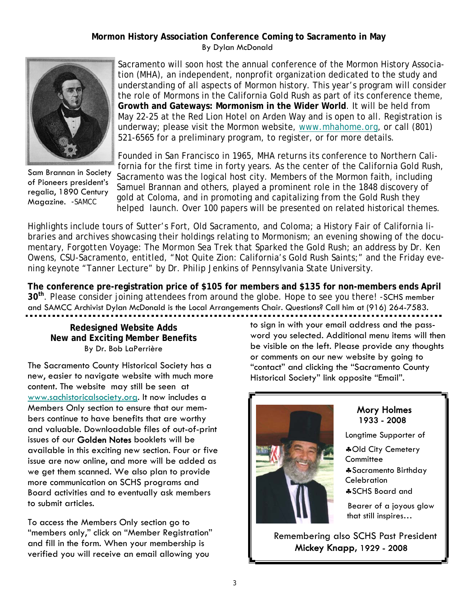## **Mormon History Association Conference Coming to Sacramento in May**  By Dylan McDonald



Sam Brannan in Society of Pioneers president's regalia, 1890 Century Magazine. -SAMCC

Sacramento will soon host the annual conference of the Mormon History Association (MHA), an independent, nonprofit organization dedicated to the study and understanding of all aspects of Mormon history. This year's program will consider the role of Mormons in the California Gold Rush as part of its conference theme, **Growth and Gateways: Mormonism in the Wider World**. It will be held from May 22-25 at the Red Lion Hotel on Arden Way and is open to all. Registration is underway; please visit the Mormon website, www.mhahome.org, or call (801) 521-6565 for a preliminary program, to register, or for more details.

Founded in San Francisco in 1965, MHA returns its conference to Northern California for the first time in forty years. As the center of the California Gold Rush, Sacramento was the logical host city. Members of the Mormon faith, including Samuel Brannan and others, played a prominent role in the 1848 discovery of gold at Coloma, and in promoting and capitalizing from the Gold Rush they helped launch. Over 100 papers will be presented on related historical themes.

Highlights include tours of Sutter's Fort, Old Sacramento, and Coloma; a History Fair of California libraries and archives showcasing their holdings relating to Mormonism; an evening showing of the documentary, *Forgotten Voyage: The Mormon Sea Trek that Sparked the Gold Rush*; an address by Dr. Ken Owens, CSU-Sacramento, entitled, "Not Quite Zion: California's Gold Rush Saints;" and the Friday evening keynote "Tanner Lecture" by Dr. Philip Jenkins of Pennsylvania State University.

**The conference pre-registration price of \$105 for members and \$135 for non-members ends April 30th**. Please consider joining attendees from around the globe. Hope to see you there! -SCHS member and SAMCC Archivist Dylan McDonald is the Local Arrangements Chair. Questions? Call him at (916) 264-7583.

### **Redesigned Website Adds New and Exciting Member Benefits**  By Dr. Bob LaPerrière

The Sacramento County Historical Society has a new, easier to navigate website with much more content. The website may still be seen at www.sachistoricalsociety.org. It now includes a Members Only section to ensure that our members continue to have benefits that are worthy and valuable. Downloadable files of out-of-print issues of our Golden Notes booklets will be available in this exciting new section. Four or five issue are now online, and more will be added as we get them scanned. We also plan to provide more communication on SCHS programs and Board activities and to eventually ask members to submit articles.

To access the Members Only section go to "members only," click on "Member Registration" and fill in the form. When your membership is verified you will receive an email allowing you

to sign in with your email address and the password you selected. Additional menu items will then be visible on the left. Please provide any thoughts or comments on our new website by going to "contact" and clicking the "Sacramento County Historical Society" link opposite "Email".



# Mory Holmes 1933 - 2008

Longtime Supporter of

 ♣Old City Cemetery **Committee**  ♣Sacramento Birthday **Celebration** ♣SCHS Board and

 Bearer of a joyous glow that still inspires…

 Remembering also SCHS Past President Mickey Knapp, 1929 - 2008